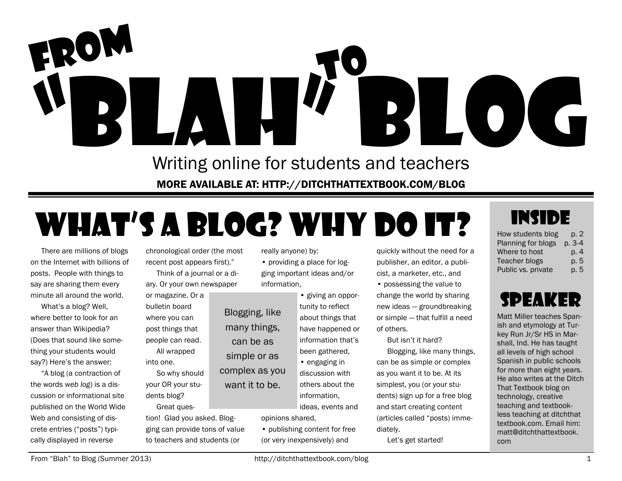

Writing online for students and teachers MORE AVAILABLE AT: HTTP://DITCHTHATTEXTBOOK.COM/BLOG

## What's a blog? Why do it?

many things, can be as simple or as

want it to be.

There are millions of blogs on the Internet with billions of posts. People with things to say are sharing them every minute all around the world.

What's a blog? Well, where better to look for an answer than Wikipedia? (Does that sound like something your students would say?) Here's the answer:

"A blog (a contraction of the words *web log*) is a discussion or informational site published on the World Wide Web and consisting of discrete entries ("posts") typically displayed in reverse

chronological order (the most recent post appears first)."

Think of a journal or a diary. Or your own newspaper

or magazine. Or a bulletin board where you can post things that people can read.

All wrapped into one.

- So why should your OR your students blog?
- Great question! Glad you asked. Blogging can provide tons of value to teachers and students (or

really anyone) by:

- providing a place for logging important ideas and/or information,
- giving an opportunity to reflect about things that have happened or information that's been gathered, Blogging, like
- engaging in discussion with others about the information, complex as you

ideas, events and opinions shared,

• publishing content for free (or very inexpensively) and

quickly without the need for a publisher, an editor, a publicist, a marketer, etc., and

• possessing the value to change the world by sharing new ideas — groundbreaking or simple — that fulfill a need of others.

But isn't it hard?

Blogging, like many things, can be as simple or complex as you want it to be. At its simplest, you (or your students) sign up for a free blog and start creating content (articles called "posts) immediately.

Let's get started!

### INSIDE

| How students blog  | p. 2   |
|--------------------|--------|
| Planning for blogs | p. 3-4 |
| Where to host      | p. 4   |
| Teacher blogs      | p. 5   |
| Public vs. private | p. 5   |

### speaker

Matt Miller teaches Spanish and etymology at Turkey Run Jr/Sr HS in Marshall, Ind. He has taught all levels of high school Spanish in public schools for more than eight years. He also writes at the Ditch That Textbook blog on technology, creative teaching and textbookless teaching at ditchthat textbook.com. Email him: matt@ditchthattextbook. com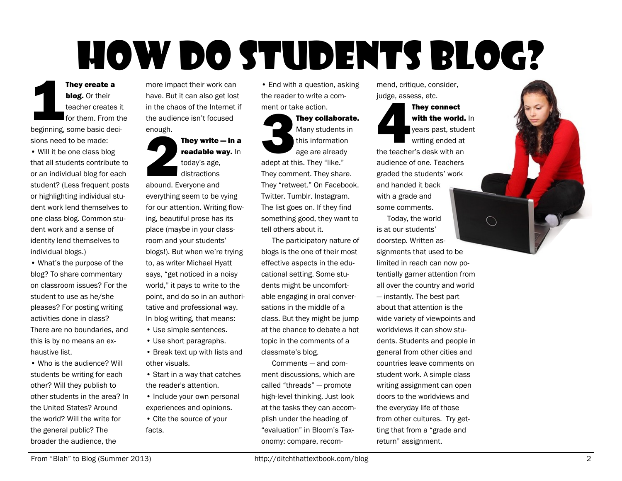# How do students blog?

**1999**<br> **Committed** They create a blog. Or their teacher creates it for them. From the beginning, some basic decisions need to be made:

• Will it be one class blog that all students contribute to or an individual blog for each student? (Less frequent posts or highlighting individual student work lend themselves to one class blog. Common student work and a sense of identity lend themselves to individual blogs.)

• What's the purpose of the blog? To share commentary on classroom issues? For the student to use as he/she pleases? For posting writing activities done in class? There are no boundaries, and this is by no means an exhaustive list.

• Who is the audience? Will students be writing for each other? Will they publish to other students in the area? In the United States? Around the world? Will the write for the general public? The broader the audience, the

more impact their work can have. But it can also get lost in the chaos of the Internet if the audience isn't focused enough.

enough.<br>**22 December 1996**<br>2004 F They write — in a readable way. In today's age, distractions abound. Everyone and everything seem to be vying for our attention. Writing flowing, beautiful prose has its place (maybe in your classroom and your students' blogs!). But when we're trying to, as writer Michael Hyatt says, "get noticed in a noisy world," it pays to write to the point, and do so in an authoritative and professional way. In blog writing, that means:

- Use simple sentences.
- Use short paragraphs.
- Break text up with lists and other visuals.
- Start in a way that catches the reader's attention.
- Include your own personal experiences and opinions.
- Cite the source of your facts.

• End with a question, asking the reader to write a comment or take action.

#### ment or ta They collaborate. Many students in this information age are already

adept at this. They "like." They comment. They share. They "retweet." On Facebook. Twitter. Tumblr. Instagram. The list goes on. If they find something good, they want to tell others about it.

The participatory nature of blogs is the one of their most effective aspects in the educational setting. Some students might be uncomfortable engaging in oral conversations in the middle of a class. But they might be jump at the chance to debate a hot topic in the comments of a classmate's blog.

Comments — and comment discussions, which are called "threads" — promote high-level thinking. Just look at the tasks they can accomplish under the heading of "evaluation" in Bloom's Taxonomy: compare, recom-

mend, critique, consider, judge, assess, etc.

judge, asset<br>the teache They connect with the world. In years past, student writing ended at the teacher's desk with an audience of one. Teachers graded the students' work and handed it back with a grade and some comments.

Today, the world is at our students' doorstep. Written assignments that used to be limited in reach can now potentially garner attention from all over the country and world — instantly. The best part about that attention is the wide variety of viewpoints and worldviews it can show students. Students and people in general from other cities and countries leave comments on student work. A simple class writing assignment can open doors to the worldviews and the everyday life of those from other cultures. Try getting that from a "grade and return" assignment.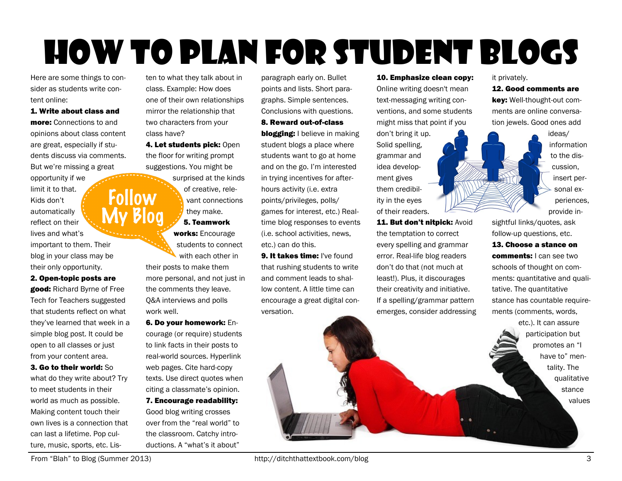## How to plan for student blogs

Here are some things to consider as students write content online:

1. Write about class and **more:** Connections to and opinions about class content are great, especially if students discuss via comments. But we're missing a great

Follow

opportunity if we limit it to that. Kids don't My Blog automatically reflect on their lives and what's important to them. Their blog in your class may be their only opportunity.

2. Open-topic posts are good: Richard Byrne of Free Tech for Teachers suggested that students reflect on what they've learned that week in a simple blog post. It could be open to all classes or just from your content area.

3. Go to their world: So what do they write about? Try to meet students in their world as much as possible. Making content touch their own lives is a connection that can last a lifetime. Pop culture, music, sports, etc. Listen to what they talk about in class. Example: How does one of their own relationships mirror the relationship that two characters from your class have?

4. Let students pick: Open the floor for writing prompt suggestions. You might be

surprised at the kinds of creative, relevant connections they make. 5. Teamwork works: Encourage students to connect

with each other in their posts to make them more personal, and not just in the comments they leave. Q&A interviews and polls work well.

6. Do your homework: Encourage (or require) students to link facts in their posts to real-world sources. Hyperlink web pages. Cite hard-copy texts. Use direct quotes when citing a classmate's opinion.

7. Encourage readability: Good blog writing crosses over from the "real world" to the classroom. Catchy introductions. A "what's it about"

paragraph early on. Bullet points and lists. Short paragraphs. Simple sentences. Conclusions with questions.

8. Reward out-of-class

**blogging:** I believe in making student blogs a place where students want to go at home and on the go. I'm interested in trying incentives for afterhours activity (i.e. extra points/privileges, polls/ games for interest, etc.) Realtime blog responses to events (i.e. school activities, news, etc.) can do this.

9. It takes time: I've found that rushing students to write and comment leads to shallow content. A little time can encourage a great digital conversation.

#### 10. Emphasize clean copy:

Online writing doesn't mean text-messaging writing conventions, and some students might miss that point if you

don't bring it up. Solid spelling, grammar and idea development gives them credibility in the eyes of their readers.

11. But don't nitpick: Avoid the temptation to correct every spelling and grammar error. Real-life blog readers don't do that (not much at least!). Plus, it discourages their creativity and initiative. If a spelling/grammar pattern emerges, consider addressing it privately.

12. Good comments are key: Well-thought-out com-

ments are online conversation jewels. Good ones add

> ideas/ information to the discussion, insert personal experiences, provide in-

sightful links/quotes, ask follow-up questions, etc. 13. Choose a stance on comments: I can see two schools of thought on comments: quantitative and qualitative. The quantitative stance has countable requirements (comments, words,

etc.). It can assure participation but promotes an "I have to" mentality. The qualitative stance values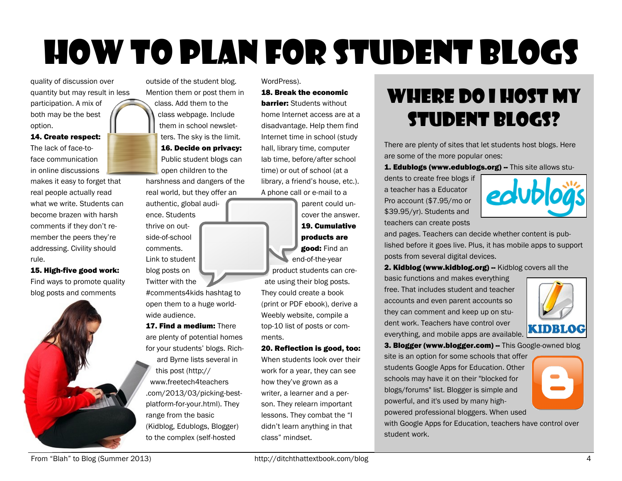## How to plan for student blogs

quality of discussion over quantity but may result in less participation. A mix of both may be the best option.

14. Create respect: The lack of face-toface communication in online discussions

makes it easy to forget that real people actually read what we write. Students can become brazen with harsh comments if they don't remember the peers they're addressing. Civility should rule.

15. High-five good work: Find ways to promote quality blog posts and comments



outside of the student blog. Mention them or post them in class. Add them to the class webpage. Include them in school newsletters. The sky is the limit. 16. Decide on privacy: Public student blogs can open children to the

harshness and dangers of the real world, but they offer an

authentic, global audience. Students thrive on outside-of-school comments. Link to student blog posts on

Twitter with the #comments4kids hashtag to open them to a huge worldwide audience.

17. Find a medium: There are plenty of potential homes for your students' blogs. Richard Byrne lists several in

this post (http:// www.freetech4teachers .com/2013/03/picking-bestplatform-for-your.html). They range from the basic (Kidblog, Edublogs, Blogger) to the complex (self-hosted

WordPress).

#### 18. Break the economic

**barrier:** Students without home Internet access are at a disadvantage. Help them find Internet time in school (study hall, library time, computer lab time, before/after school time) or out of school (at a library, a friend's house, etc.). A phone call or e-mail to a

parent could uncover the answer. 19. Cumulative products are good: Find an end-of-the-year

product students can create using their blog posts. They could create a book (print or PDF ebook), derive a Weebly website, compile a top-10 list of posts or comments.

#### 20. Reflection is good, too:

When students look over their work for a year, they can see how they've grown as a writer, a learner and a person. They relearn important lessons. They combat the "I didn't learn anything in that class" mindset.

### Where do I host my student blogs?

There are plenty of sites that let students host blogs. Here are some of the more popular ones:

1. Edublogs (www.edublogs.org) -- This site allows stu-

dents to create free blogs if a teacher has a Educator Pro account (\$7.95/mo or \$39.95/yr). Students and teachers can create posts



and pages. Teachers can decide whether content is published before it goes live. Plus, it has mobile apps to support posts from several digital devices.

2. Kidblog (www.kidblog.org) -- Kidblog covers all the

basic functions and makes everything free. That includes student and teacher accounts and even parent accounts so they can comment and keep up on student work. Teachers have control over everything, and mobile apps are available.



3. Blogger (www.blogger.com) -- This Google-owned blog

site is an option for some schools that offer students Google Apps for Education. Other schools may have it on their "blocked for blogs/forums" list. Blogger is simple and powerful, and it's used by many highpowered professional bloggers. When used



with Google Apps for Education, teachers have control over student work.